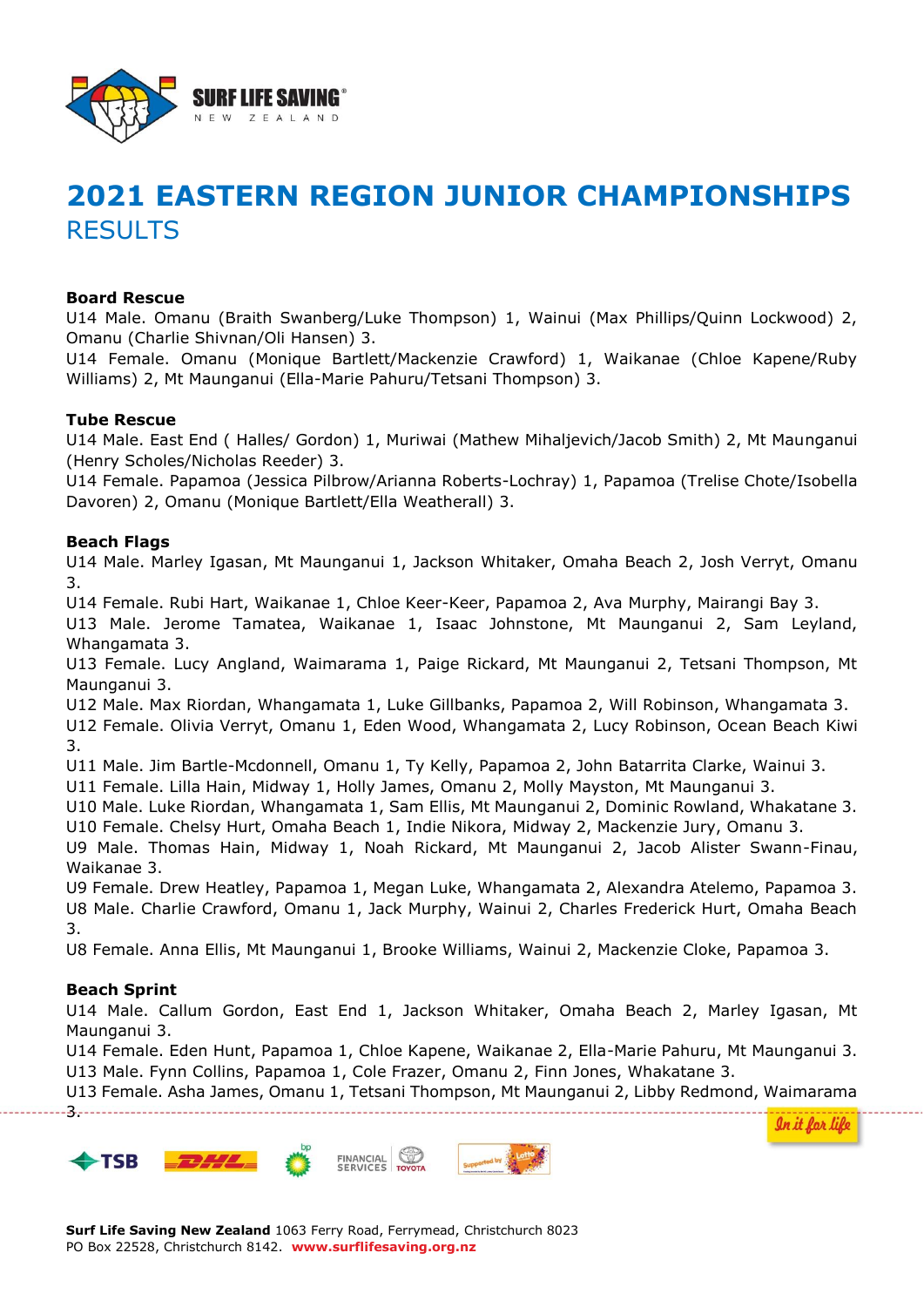

# **2021 EASTERN REGION JUNIOR CHAMPIONSHIPS RESULTS**

#### **Board Rescue**

U14 Male. Omanu (Braith Swanberg/Luke Thompson) 1, Wainui (Max Phillips/Quinn Lockwood) 2, Omanu (Charlie Shivnan/Oli Hansen) 3.

U14 Female. Omanu (Monique Bartlett/Mackenzie Crawford) 1, Waikanae (Chloe Kapene/Ruby Williams) 2, Mt Maunganui (Ella-Marie Pahuru/Tetsani Thompson) 3.

#### **Tube Rescue**

U14 Male. East End ( Halles/ Gordon) 1, Muriwai (Mathew Mihaljevich/Jacob Smith) 2, Mt Maunganui (Henry Scholes/Nicholas Reeder) 3.

U14 Female. Papamoa (Jessica Pilbrow/Arianna Roberts-Lochray) 1, Papamoa (Trelise Chote/Isobella Davoren) 2, Omanu (Monique Bartlett/Ella Weatherall) 3.

#### **Beach Flags**

U14 Male. Marley Igasan, Mt Maunganui 1, Jackson Whitaker, Omaha Beach 2, Josh Verryt, Omanu 3.

U14 Female. Rubi Hart, Waikanae 1, Chloe Keer-Keer, Papamoa 2, Ava Murphy, Mairangi Bay 3.

U13 Male. Jerome Tamatea, Waikanae 1, Isaac Johnstone, Mt Maunganui 2, Sam Leyland, Whangamata 3.

U13 Female. Lucy Angland, Waimarama 1, Paige Rickard, Mt Maunganui 2, Tetsani Thompson, Mt Maunganui 3.

U12 Male. Max Riordan, Whangamata 1, Luke Gillbanks, Papamoa 2, Will Robinson, Whangamata 3. U12 Female. Olivia Verryt, Omanu 1, Eden Wood, Whangamata 2, Lucy Robinson, Ocean Beach Kiwi 3.

U11 Male. Jim Bartle-Mcdonnell, Omanu 1, Ty Kelly, Papamoa 2, John Batarrita Clarke, Wainui 3.

U11 Female. Lilla Hain, Midway 1, Holly James, Omanu 2, Molly Mayston, Mt Maunganui 3.

U10 Male. Luke Riordan, Whangamata 1, Sam Ellis, Mt Maunganui 2, Dominic Rowland, Whakatane 3. U10 Female. Chelsy Hurt, Omaha Beach 1, Indie Nikora, Midway 2, Mackenzie Jury, Omanu 3.

U9 Male. Thomas Hain, Midway 1, Noah Rickard, Mt Maunganui 2, Jacob Alister Swann-Finau, Waikanae 3.

U9 Female. Drew Heatley, Papamoa 1, Megan Luke, Whangamata 2, Alexandra Atelemo, Papamoa 3. U8 Male. Charlie Crawford, Omanu 1, Jack Murphy, Wainui 2, Charles Frederick Hurt, Omaha Beach 3.

U8 Female. Anna Ellis, Mt Maunganui 1, Brooke Williams, Wainui 2, Mackenzie Cloke, Papamoa 3.

#### **Beach Sprint**

3.

U14 Male. Callum Gordon, East End 1, Jackson Whitaker, Omaha Beach 2, Marley Igasan, Mt Maunganui 3.

U14 Female. Eden Hunt, Papamoa 1, Chloe Kapene, Waikanae 2, Ella-Marie Pahuru, Mt Maunganui 3. U13 Male. Fynn Collins, Papamoa 1, Cole Frazer, Omanu 2, Finn Jones, Whakatane 3.

U13 Female. Asha James, Omanu 1, Tetsani Thompson, Mt Maunganui 2, Libby Redmond, Waimarama

<u>In it for life</u>

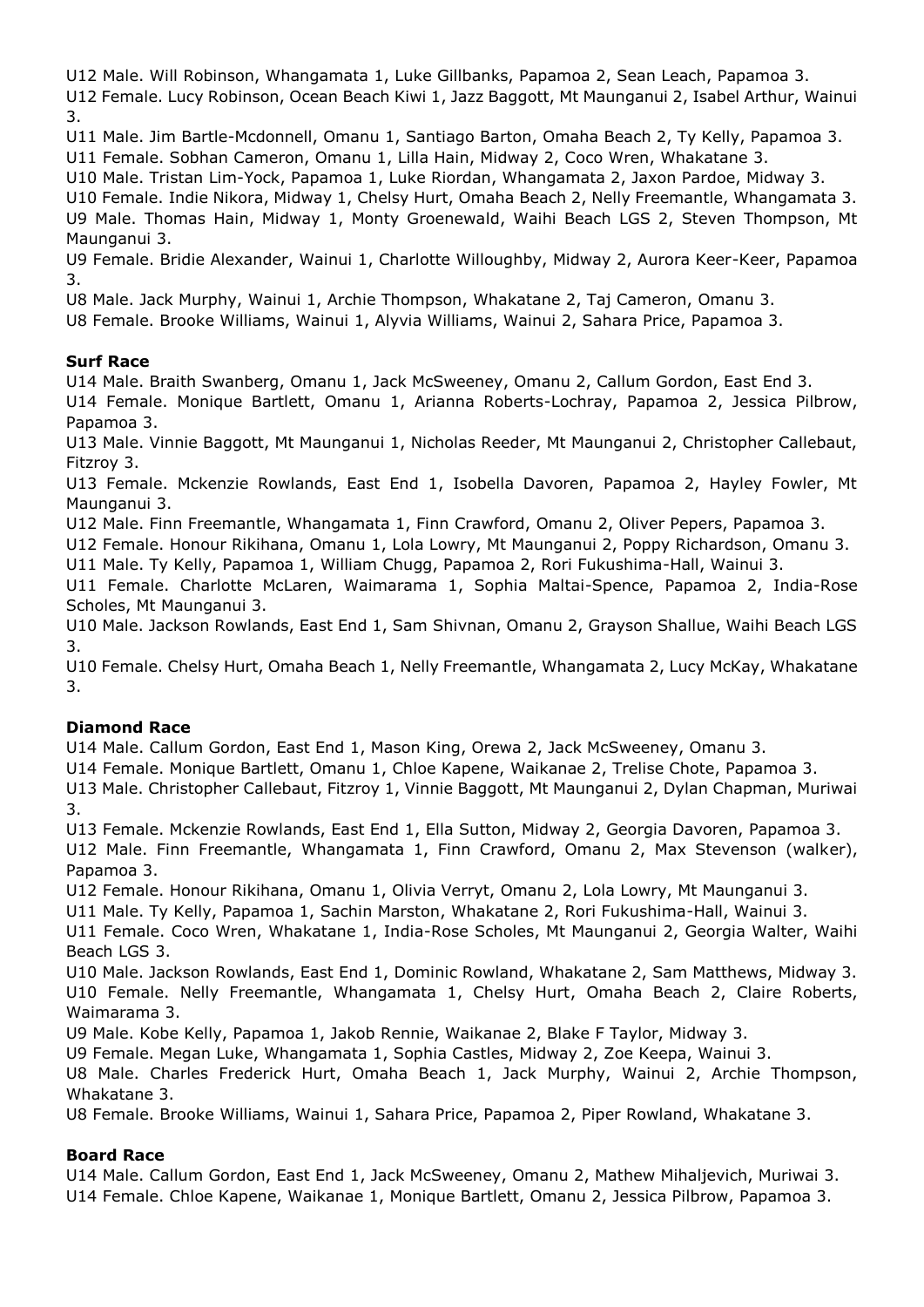U12 Male. Will Robinson, Whangamata 1, Luke Gillbanks, Papamoa 2, Sean Leach, Papamoa 3. U12 Female. Lucy Robinson, Ocean Beach Kiwi 1, Jazz Baggott, Mt Maunganui 2, Isabel Arthur, Wainui 3.

U11 Male. Jim Bartle-Mcdonnell, Omanu 1, Santiago Barton, Omaha Beach 2, Ty Kelly, Papamoa 3. U11 Female. Sobhan Cameron, Omanu 1, Lilla Hain, Midway 2, Coco Wren, Whakatane 3.

U10 Male. Tristan Lim-Yock, Papamoa 1, Luke Riordan, Whangamata 2, Jaxon Pardoe, Midway 3. U10 Female. Indie Nikora, Midway 1, Chelsy Hurt, Omaha Beach 2, Nelly Freemantle, Whangamata 3. U9 Male. Thomas Hain, Midway 1, Monty Groenewald, Waihi Beach LGS 2, Steven Thompson, Mt Maunganui 3.

U9 Female. Bridie Alexander, Wainui 1, Charlotte Willoughby, Midway 2, Aurora Keer-Keer, Papamoa 3.

U8 Male. Jack Murphy, Wainui 1, Archie Thompson, Whakatane 2, Taj Cameron, Omanu 3.

U8 Female. Brooke Williams, Wainui 1, Alyvia Williams, Wainui 2, Sahara Price, Papamoa 3.

# **Surf Race**

U14 Male. Braith Swanberg, Omanu 1, Jack McSweeney, Omanu 2, Callum Gordon, East End 3.

U14 Female. Monique Bartlett, Omanu 1, Arianna Roberts-Lochray, Papamoa 2, Jessica Pilbrow, Papamoa 3.

U13 Male. Vinnie Baggott, Mt Maunganui 1, Nicholas Reeder, Mt Maunganui 2, Christopher Callebaut, Fitzroy 3.

U13 Female. Mckenzie Rowlands, East End 1, Isobella Davoren, Papamoa 2, Hayley Fowler, Mt Maunganui 3.

U12 Male. Finn Freemantle, Whangamata 1, Finn Crawford, Omanu 2, Oliver Pepers, Papamoa 3.

U12 Female. Honour Rikihana, Omanu 1, Lola Lowry, Mt Maunganui 2, Poppy Richardson, Omanu 3. U11 Male. Ty Kelly, Papamoa 1, William Chugg, Papamoa 2, Rori Fukushima-Hall, Wainui 3.

U11 Female. Charlotte McLaren, Waimarama 1, Sophia Maltai-Spence, Papamoa 2, India-Rose Scholes, Mt Maunganui 3.

U10 Male. Jackson Rowlands, East End 1, Sam Shivnan, Omanu 2, Grayson Shallue, Waihi Beach LGS 3.

U10 Female. Chelsy Hurt, Omaha Beach 1, Nelly Freemantle, Whangamata 2, Lucy McKay, Whakatane 3.

# **Diamond Race**

U14 Male. Callum Gordon, East End 1, Mason King, Orewa 2, Jack McSweeney, Omanu 3.

U14 Female. Monique Bartlett, Omanu 1, Chloe Kapene, Waikanae 2, Trelise Chote, Papamoa 3.

U13 Male. Christopher Callebaut, Fitzroy 1, Vinnie Baggott, Mt Maunganui 2, Dylan Chapman, Muriwai 3.

U13 Female. Mckenzie Rowlands, East End 1, Ella Sutton, Midway 2, Georgia Davoren, Papamoa 3. U12 Male. Finn Freemantle, Whangamata 1, Finn Crawford, Omanu 2, Max Stevenson (walker), Papamoa 3.

U12 Female. Honour Rikihana, Omanu 1, Olivia Verryt, Omanu 2, Lola Lowry, Mt Maunganui 3.

U11 Male. Ty Kelly, Papamoa 1, Sachin Marston, Whakatane 2, Rori Fukushima-Hall, Wainui 3.

U11 Female. Coco Wren, Whakatane 1, India-Rose Scholes, Mt Maunganui 2, Georgia Walter, Waihi Beach LGS 3.

U10 Male. Jackson Rowlands, East End 1, Dominic Rowland, Whakatane 2, Sam Matthews, Midway 3. U10 Female. Nelly Freemantle, Whangamata 1, Chelsy Hurt, Omaha Beach 2, Claire Roberts, Waimarama 3.

U9 Male. Kobe Kelly, Papamoa 1, Jakob Rennie, Waikanae 2, Blake F Taylor, Midway 3.

U9 Female. Megan Luke, Whangamata 1, Sophia Castles, Midway 2, Zoe Keepa, Wainui 3.

U8 Male. Charles Frederick Hurt, Omaha Beach 1, Jack Murphy, Wainui 2, Archie Thompson, Whakatane 3.

U8 Female. Brooke Williams, Wainui 1, Sahara Price, Papamoa 2, Piper Rowland, Whakatane 3.

# **Board Race**

U14 Male. Callum Gordon, East End 1, Jack McSweeney, Omanu 2, Mathew Mihaljevich, Muriwai 3. U14 Female. Chloe Kapene, Waikanae 1, Monique Bartlett, Omanu 2, Jessica Pilbrow, Papamoa 3.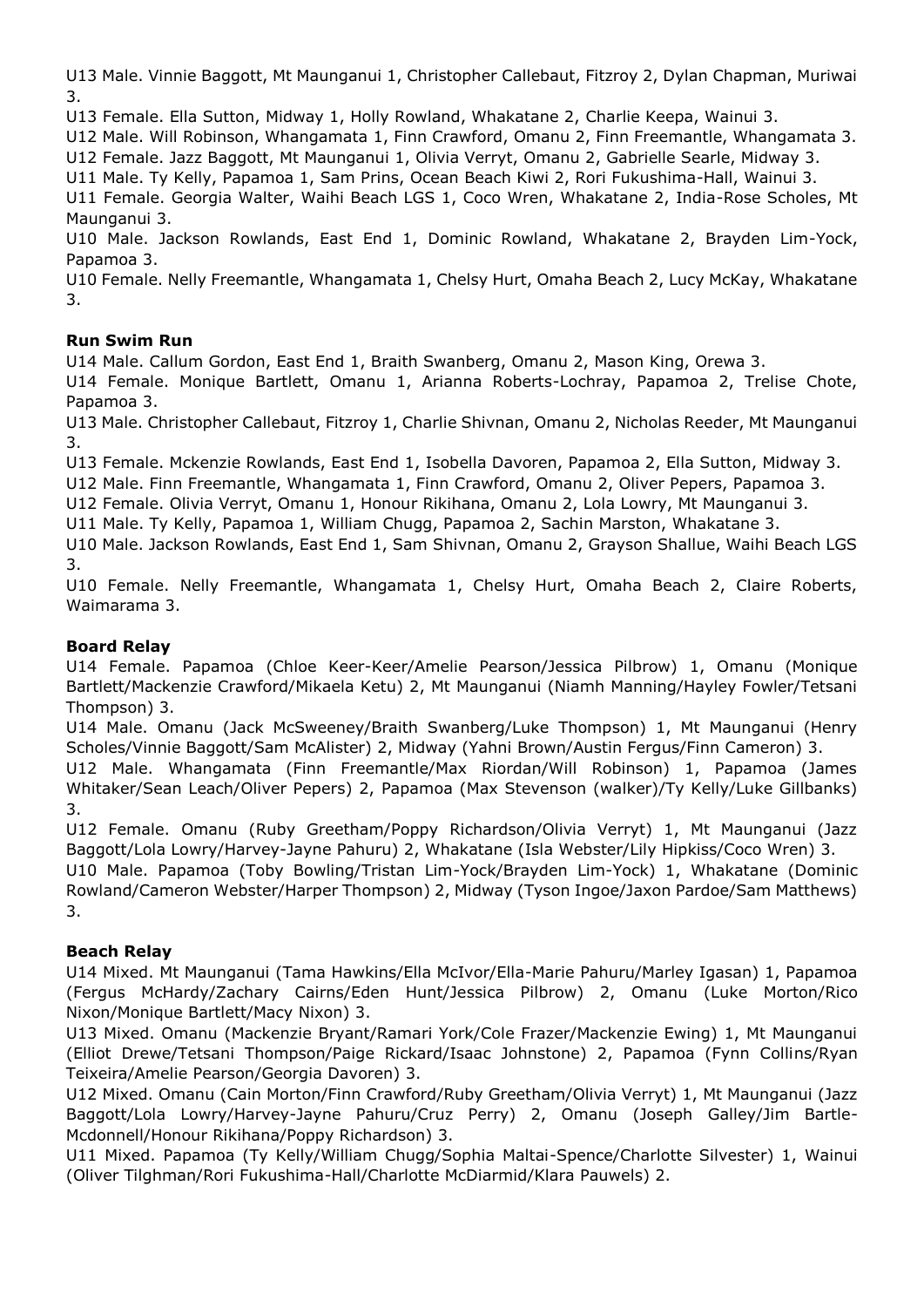U13 Male. Vinnie Baggott, Mt Maunganui 1, Christopher Callebaut, Fitzroy 2, Dylan Chapman, Muriwai 3.

U13 Female. Ella Sutton, Midway 1, Holly Rowland, Whakatane 2, Charlie Keepa, Wainui 3.

U12 Male. Will Robinson, Whangamata 1, Finn Crawford, Omanu 2, Finn Freemantle, Whangamata 3. U12 Female. Jazz Baggott, Mt Maunganui 1, Olivia Verryt, Omanu 2, Gabrielle Searle, Midway 3.

U11 Male. Ty Kelly, Papamoa 1, Sam Prins, Ocean Beach Kiwi 2, Rori Fukushima-Hall, Wainui 3.

U11 Female. Georgia Walter, Waihi Beach LGS 1, Coco Wren, Whakatane 2, India-Rose Scholes, Mt Maunganui 3.

U10 Male. Jackson Rowlands, East End 1, Dominic Rowland, Whakatane 2, Brayden Lim-Yock, Papamoa 3.

U10 Female. Nelly Freemantle, Whangamata 1, Chelsy Hurt, Omaha Beach 2, Lucy McKay, Whakatane 3.

## **Run Swim Run**

U14 Male. Callum Gordon, East End 1, Braith Swanberg, Omanu 2, Mason King, Orewa 3.

U14 Female. Monique Bartlett, Omanu 1, Arianna Roberts-Lochray, Papamoa 2, Trelise Chote, Papamoa 3.

U13 Male. Christopher Callebaut, Fitzroy 1, Charlie Shivnan, Omanu 2, Nicholas Reeder, Mt Maunganui 3.

U13 Female. Mckenzie Rowlands, East End 1, Isobella Davoren, Papamoa 2, Ella Sutton, Midway 3.

U12 Male. Finn Freemantle, Whangamata 1, Finn Crawford, Omanu 2, Oliver Pepers, Papamoa 3.

U12 Female. Olivia Verryt, Omanu 1, Honour Rikihana, Omanu 2, Lola Lowry, Mt Maunganui 3.

U11 Male. Ty Kelly, Papamoa 1, William Chugg, Papamoa 2, Sachin Marston, Whakatane 3.

U10 Male. Jackson Rowlands, East End 1, Sam Shivnan, Omanu 2, Grayson Shallue, Waihi Beach LGS 3.

U10 Female. Nelly Freemantle, Whangamata 1, Chelsy Hurt, Omaha Beach 2, Claire Roberts, Waimarama 3.

## **Board Relay**

U14 Female. Papamoa (Chloe Keer-Keer/Amelie Pearson/Jessica Pilbrow) 1, Omanu (Monique Bartlett/Mackenzie Crawford/Mikaela Ketu) 2, Mt Maunganui (Niamh Manning/Hayley Fowler/Tetsani Thompson) 3.

U14 Male. Omanu (Jack McSweeney/Braith Swanberg/Luke Thompson) 1, Mt Maunganui (Henry Scholes/Vinnie Baggott/Sam McAlister) 2, Midway (Yahni Brown/Austin Fergus/Finn Cameron) 3.

U12 Male. Whangamata (Finn Freemantle/Max Riordan/Will Robinson) 1, Papamoa (James Whitaker/Sean Leach/Oliver Pepers) 2, Papamoa (Max Stevenson (walker)/Ty Kelly/Luke Gillbanks) 3.

U12 Female. Omanu (Ruby Greetham/Poppy Richardson/Olivia Verryt) 1, Mt Maunganui (Jazz Baggott/Lola Lowry/Harvey-Jayne Pahuru) 2, Whakatane (Isla Webster/Lily Hipkiss/Coco Wren) 3.

U10 Male. Papamoa (Toby Bowling/Tristan Lim-Yock/Brayden Lim-Yock) 1, Whakatane (Dominic Rowland/Cameron Webster/Harper Thompson) 2, Midway (Tyson Ingoe/Jaxon Pardoe/Sam Matthews) 3.

## **Beach Relay**

U14 Mixed. Mt Maunganui (Tama Hawkins/Ella McIvor/Ella-Marie Pahuru/Marley Igasan) 1, Papamoa (Fergus McHardy/Zachary Cairns/Eden Hunt/Jessica Pilbrow) 2, Omanu (Luke Morton/Rico Nixon/Monique Bartlett/Macy Nixon) 3.

U13 Mixed. Omanu (Mackenzie Bryant/Ramari York/Cole Frazer/Mackenzie Ewing) 1, Mt Maunganui (Elliot Drewe/Tetsani Thompson/Paige Rickard/Isaac Johnstone) 2, Papamoa (Fynn Collins/Ryan Teixeira/Amelie Pearson/Georgia Davoren) 3.

U12 Mixed. Omanu (Cain Morton/Finn Crawford/Ruby Greetham/Olivia Verryt) 1, Mt Maunganui (Jazz Baggott/Lola Lowry/Harvey-Jayne Pahuru/Cruz Perry) 2, Omanu (Joseph Galley/Jim Bartle-Mcdonnell/Honour Rikihana/Poppy Richardson) 3.

U11 Mixed. Papamoa (Ty Kelly/William Chugg/Sophia Maltai-Spence/Charlotte Silvester) 1, Wainui (Oliver Tilghman/Rori Fukushima-Hall/Charlotte McDiarmid/Klara Pauwels) 2.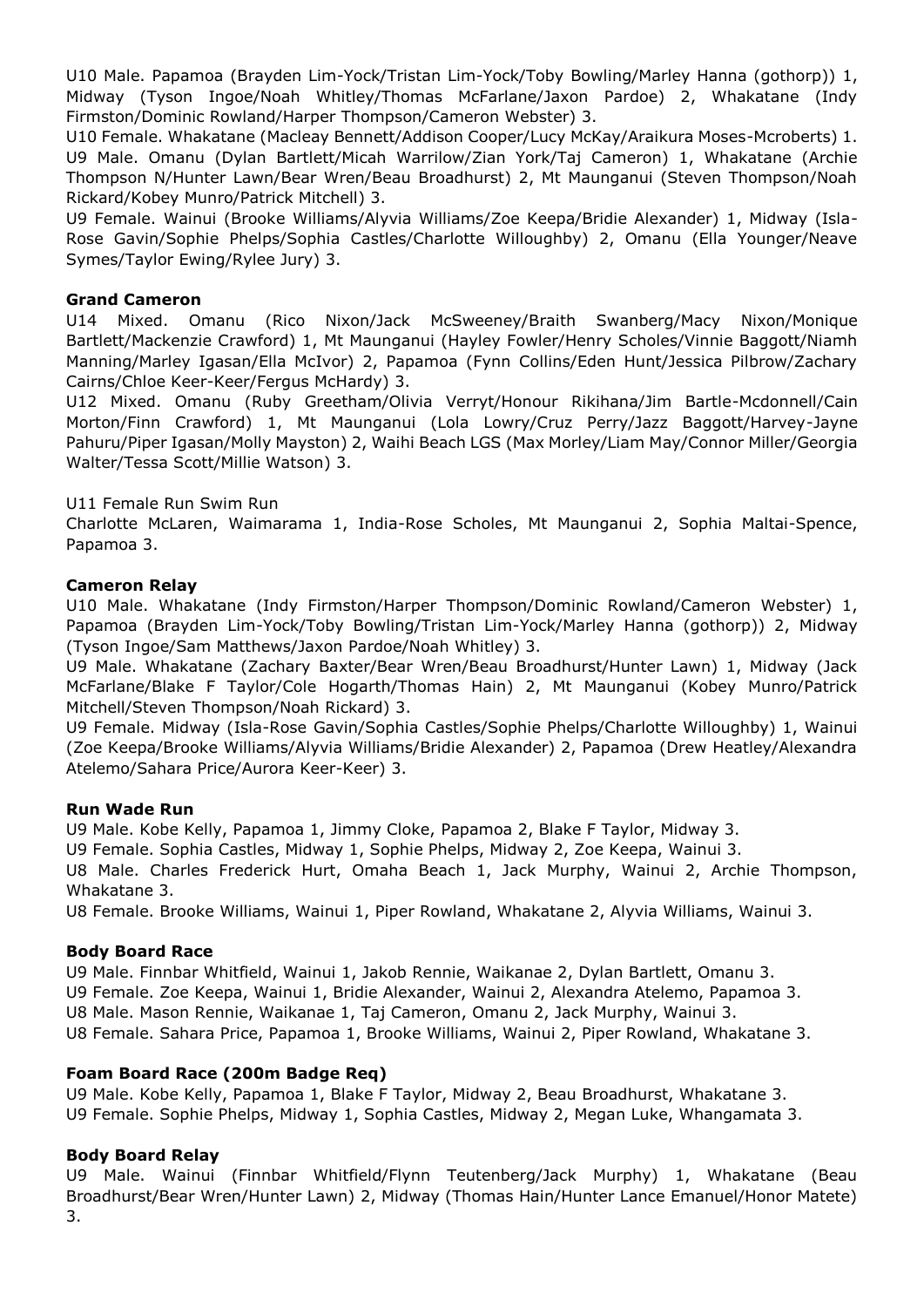U10 Male. Papamoa (Brayden Lim-Yock/Tristan Lim-Yock/Toby Bowling/Marley Hanna (gothorp)) 1, Midway (Tyson Ingoe/Noah Whitley/Thomas McFarlane/Jaxon Pardoe) 2, Whakatane (Indy Firmston/Dominic Rowland/Harper Thompson/Cameron Webster) 3.

U10 Female. Whakatane (Macleay Bennett/Addison Cooper/Lucy McKay/Araikura Moses-Mcroberts) 1. U9 Male. Omanu (Dylan Bartlett/Micah Warrilow/Zian York/Taj Cameron) 1, Whakatane (Archie Thompson N/Hunter Lawn/Bear Wren/Beau Broadhurst) 2, Mt Maunganui (Steven Thompson/Noah Rickard/Kobey Munro/Patrick Mitchell) 3.

U9 Female. Wainui (Brooke Williams/Alyvia Williams/Zoe Keepa/Bridie Alexander) 1, Midway (Isla-Rose Gavin/Sophie Phelps/Sophia Castles/Charlotte Willoughby) 2, Omanu (Ella Younger/Neave Symes/Taylor Ewing/Rylee Jury) 3.

## **Grand Cameron**

U14 Mixed. Omanu (Rico Nixon/Jack McSweeney/Braith Swanberg/Macy Nixon/Monique Bartlett/Mackenzie Crawford) 1, Mt Maunganui (Hayley Fowler/Henry Scholes/Vinnie Baggott/Niamh Manning/Marley Igasan/Ella McIvor) 2, Papamoa (Fynn Collins/Eden Hunt/Jessica Pilbrow/Zachary Cairns/Chloe Keer-Keer/Fergus McHardy) 3.

U12 Mixed. Omanu (Ruby Greetham/Olivia Verryt/Honour Rikihana/Jim Bartle-Mcdonnell/Cain Morton/Finn Crawford) 1, Mt Maunganui (Lola Lowry/Cruz Perry/Jazz Baggott/Harvey-Jayne Pahuru/Piper Igasan/Molly Mayston) 2, Waihi Beach LGS (Max Morley/Liam May/Connor Miller/Georgia Walter/Tessa Scott/Millie Watson) 3.

## U11 Female Run Swim Run

Charlotte McLaren, Waimarama 1, India-Rose Scholes, Mt Maunganui 2, Sophia Maltai-Spence, Papamoa 3.

#### **Cameron Relay**

U10 Male. Whakatane (Indy Firmston/Harper Thompson/Dominic Rowland/Cameron Webster) 1, Papamoa (Brayden Lim-Yock/Toby Bowling/Tristan Lim-Yock/Marley Hanna (gothorp)) 2, Midway (Tyson Ingoe/Sam Matthews/Jaxon Pardoe/Noah Whitley) 3.

U9 Male. Whakatane (Zachary Baxter/Bear Wren/Beau Broadhurst/Hunter Lawn) 1, Midway (Jack McFarlane/Blake F Taylor/Cole Hogarth/Thomas Hain) 2, Mt Maunganui (Kobey Munro/Patrick Mitchell/Steven Thompson/Noah Rickard) 3.

U9 Female. Midway (Isla-Rose Gavin/Sophia Castles/Sophie Phelps/Charlotte Willoughby) 1, Wainui (Zoe Keepa/Brooke Williams/Alyvia Williams/Bridie Alexander) 2, Papamoa (Drew Heatley/Alexandra Atelemo/Sahara Price/Aurora Keer-Keer) 3.

#### **Run Wade Run**

U9 Male. Kobe Kelly, Papamoa 1, Jimmy Cloke, Papamoa 2, Blake F Taylor, Midway 3.

U9 Female. Sophia Castles, Midway 1, Sophie Phelps, Midway 2, Zoe Keepa, Wainui 3.

U8 Male. Charles Frederick Hurt, Omaha Beach 1, Jack Murphy, Wainui 2, Archie Thompson, Whakatane 3.

U8 Female. Brooke Williams, Wainui 1, Piper Rowland, Whakatane 2, Alyvia Williams, Wainui 3.

#### **Body Board Race**

U9 Male. Finnbar Whitfield, Wainui 1, Jakob Rennie, Waikanae 2, Dylan Bartlett, Omanu 3.

U9 Female. Zoe Keepa, Wainui 1, Bridie Alexander, Wainui 2, Alexandra Atelemo, Papamoa 3.

U8 Male. Mason Rennie, Waikanae 1, Taj Cameron, Omanu 2, Jack Murphy, Wainui 3.

U8 Female. Sahara Price, Papamoa 1, Brooke Williams, Wainui 2, Piper Rowland, Whakatane 3.

## **Foam Board Race (200m Badge Req)**

U9 Male. Kobe Kelly, Papamoa 1, Blake F Taylor, Midway 2, Beau Broadhurst, Whakatane 3. U9 Female. Sophie Phelps, Midway 1, Sophia Castles, Midway 2, Megan Luke, Whangamata 3.

## **Body Board Relay**

U9 Male. Wainui (Finnbar Whitfield/Flynn Teutenberg/Jack Murphy) 1, Whakatane (Beau Broadhurst/Bear Wren/Hunter Lawn) 2, Midway (Thomas Hain/Hunter Lance Emanuel/Honor Matete) 3.